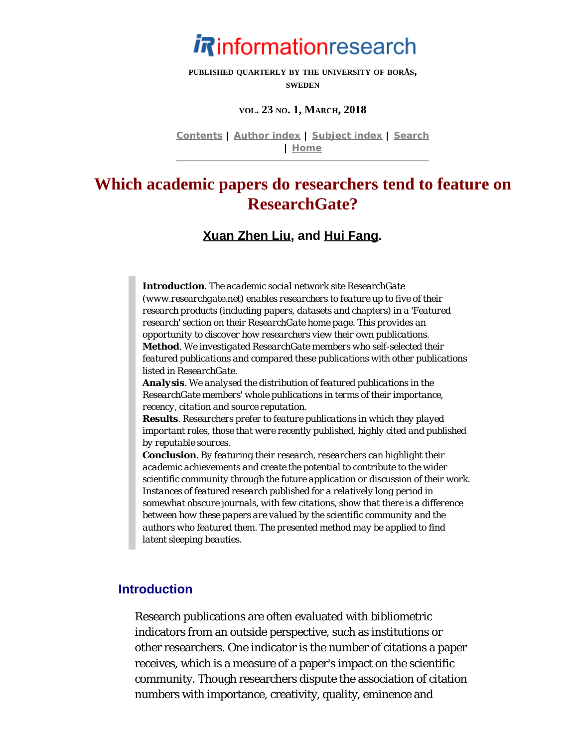

**PUBLISHED QUARTERLY BY THE UNIVERSITY OF BORÅS, SWEDEN**

#### **VOL. 23 NO. 1, MARCH, 2018**

**[Contents](http://www.informationr.net/ir/23-1/infres231.html) | [Author index](http://www.informationr.net/ir/iraindex.html) | [Subject index](http://www.informationr.net/ir/irsindex.html) | [Search](http://www.informationr.net/ir/search.html) | [Home](http://www.informationr.net/ir/index.html)**

# **Which academic papers do researchers tend to feature on ResearchGate?**

**[Xuan Zhen Liu](#page-18-0), and [Hui Fang](#page-18-0).**

*Introduction. The academic social network site ResearchGate (www.researchgate.net) enables researchers to feature up to five of their research products (including papers, datasets and chapters) in a 'Featured research' section on their ResearchGate home page. This provides an opportunity to discover how researchers view their own publications. Method. We investigated ResearchGate members who self-selected their featured publications and compared these publications with other publications listed in ResearchGate.*

*Analysis. We analysed the distribution of featured publications in the ResearchGate members' whole publications in terms of their importance, recency, citation and source reputation.* 

*Results. Researchers prefer to feature publications in which they played important roles, those that were recently published, highly cited and published by reputable sources.*

*Conclusion. By featuring their research, researchers can highlight their academic achievements and create the potential to contribute to the wider scientific community through the future application or discussion of their work. Instances of featured research published for a relatively long period in somewhat obscure journals, with few citations, show that there is a difference between how these papers are valued by the scientific community and the authors who featured them. The presented method may be applied to find latent sleeping beauties.* 

### **Introduction**

Research publications are often evaluated with bibliometric indicators from an outside perspective, such as institutions or other researchers. One indicator is the number of citations a paper receives, which is a measure of a paper's impact on the scientific community. Though researchers dispute the association of citation numbers with importance, creativity, quality, eminence and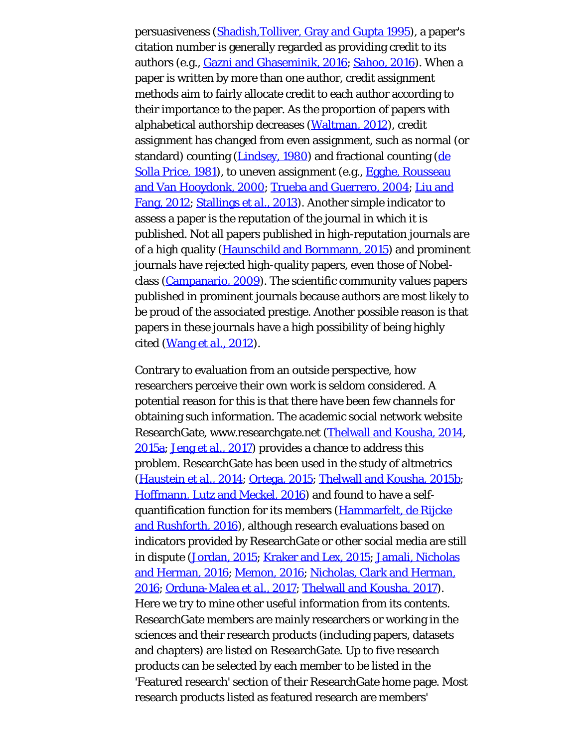persuasiveness [\(Shadish,Tolliver, Gray and Gupta 1995](#page-22-0)), a paper's citation number is generally regarded as providing credit to its authors (e.g., [Gazni and Ghaseminik, 2016](#page-22-0); [Sahoo, 2016](#page-22-0)). When a paper is written by more than one author, credit assignment methods aim to fairly allocate credit to each author according to their importance to the paper. As the proportion of papers with alphabetical authorship decreases [\(Waltman, 2012](#page-22-0)), credit assignment has changed from even assignment, such as normal (or standard) counting ([Lindsey, 1980\)](#page-22-0) and fractional counting [\(de](#page-22-0) [Solla Price, 1981](#page-22-0)), to uneven assignment (e.g., [Egghe, Rousseau](#page-22-0) [and Van Hooydonk, 2000](#page-22-0); [Trueba and Guerrero, 2004](#page-22-0); [Liu and](#page-22-0) [Fang, 2012](#page-22-0); [Stallings](#page-22-0) *[et al.](#page-22-0)*[, 2013](#page-22-0)). Another simple indicator to assess a paper is the reputation of the journal in which it is published. Not all papers published in high-reputation journals are of a high quality [\(Haunschild and Bornmann, 2015](#page-22-0)) and prominent journals have rejected high-quality papers, even those of Nobelclass [\(Campanario, 2009](#page-22-0)). The scientific community values papers published in prominent journals because authors are most likely to be proud of the associated prestige. Another possible reason is that papers in these journals have a high possibility of being highly cited ([Wang](#page-22-0) *[et al.](#page-22-0)*[, 2012](#page-22-0)).

Contrary to evaluation from an outside perspective, how researchers perceive their own work is seldom considered. A potential reason for this is that there have been few channels for obtaining such information. The academic social network website ResearchGate, www.researchgate.net ([Thelwall and Kousha, 2014](#page-22-0), [2015a; Jeng](#page-22-0) *[et al.](#page-22-0)*[, 2017](#page-22-0)) provides a chance to address this problem. ResearchGate has been used in the study of altmetrics [\(Haustein](#page-22-0) *[et al.](#page-22-0)*[, 2014;](#page-22-0) [Ortega, 2015;](#page-22-0) [Thelwall and Kousha, 2015b](#page-22-0); [Hoffmann, Lutz and Meckel, 2016](#page-22-0)) and found to have a selfquantification function for its members [\(Hammarfelt, de Rijcke](#page-22-0) [and Rushforth, 2016\)](#page-22-0), although research evaluations based on indicators provided by ResearchGate or other social media are still in dispute ([Jordan, 2015](#page-22-0); [Kraker and Lex, 2015;](#page-22-0) [Jamali, Nicholas](#page-22-0) [and Herman, 2016](#page-22-0); [Memon, 2016; Nicholas, Clark and Herman,](#page-22-0) [2016; Orduna-Malea](#page-22-0) *[et al.](#page-22-0)*[, 2017](#page-22-0); [Thelwall and Kousha, 2017\)](#page-22-0). Here we try to mine other useful information from its contents. ResearchGate members are mainly researchers or working in the sciences and their research products (including papers, datasets and chapters) are listed on ResearchGate. Up to five research products can be selected by each member to be listed in the 'Featured research' section of their ResearchGate home page. Most research products listed as featured research are members'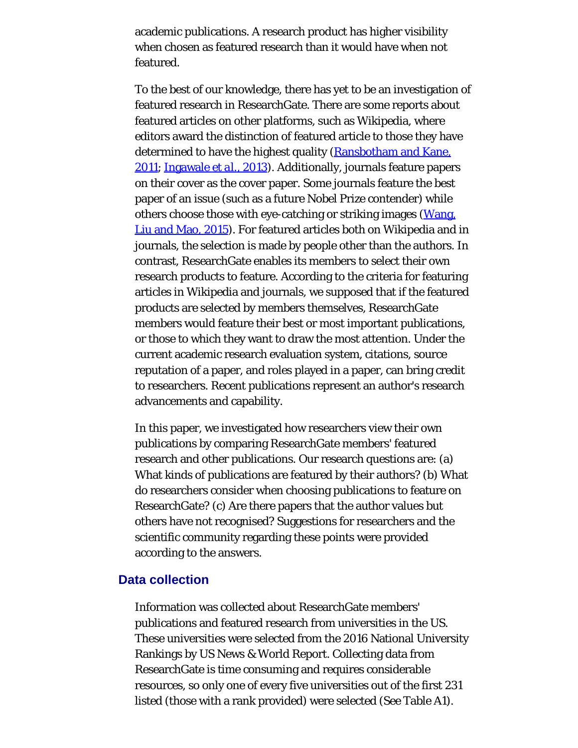academic publications. A research product has higher visibility when chosen as featured research than it would have when not featured.

To the best of our knowledge, there has yet to be an investigation of featured research in ResearchGate. There are some reports about featured articles on other platforms, such as Wikipedia, where editors award the distinction of featured article to those they have determined to have the highest quality ([Ransbotham and Kane,](#page-22-0) [2011](#page-22-0); [Ingawale](#page-22-0) *[et al.](#page-22-0)*[, 2013\)](#page-22-0). Additionally, journals feature papers on their cover as the cover paper. Some journals feature the best paper of an issue (such as a future Nobel Prize contender) while others choose those with eye-catching or striking images [\(Wang,](#page-22-1) [Liu and Mao, 2015](#page-22-1)). For featured articles both on Wikipedia and in journals, the selection is made by people other than the authors. In contrast, ResearchGate enables its members to select their own research products to feature. According to the criteria for featuring articles in Wikipedia and journals, we supposed that if the featured products are selected by members themselves, ResearchGate members would feature their best or most important publications, or those to which they want to draw the most attention. Under the current academic research evaluation system, citations, source reputation of a paper, and roles played in a paper, can bring credit to researchers. Recent publications represent an author's research advancements and capability.

In this paper, we investigated how researchers view their own publications by comparing ResearchGate members' featured research and other publications. Our research questions are: (a) What kinds of publications are featured by their authors? (b) What do researchers consider when choosing publications to feature on ResearchGate? (c) Are there papers that the author values but others have not recognised? Suggestions for researchers and the scientific community regarding these points were provided according to the answers.

#### **Data collection**

Information was collected about ResearchGate members' publications and featured research from universities in the US. These universities were selected from the 2016 National University Rankings by US News & World Report. Collecting data from ResearchGate is time consuming and requires considerable resources, so only one of every five universities out of the first 231 listed (those with a rank provided) were selected (See Table A1).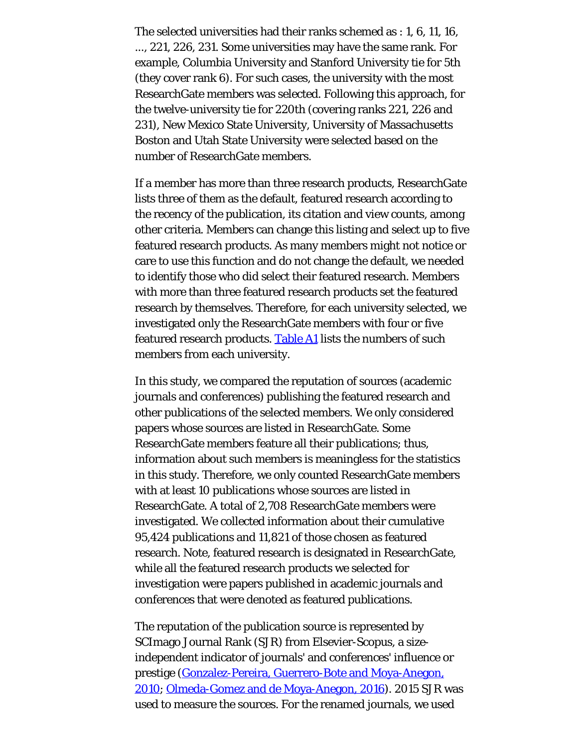The selected universities had their ranks schemed as : 1, 6, 11, 16, ..., 221, 226, 231. Some universities may have the same rank. For example, Columbia University and Stanford University tie for 5th (they cover rank 6). For such cases, the university with the most ResearchGate members was selected. Following this approach, for the twelve-university tie for 220th (covering ranks 221, 226 and 231), New Mexico State University, University of Massachusetts Boston and Utah State University were selected based on the number of ResearchGate members.

If a member has more than three research products, ResearchGate lists three of them as the default, featured research according to the recency of the publication, its citation and view counts, among other criteria. Members can change this listing and select up to five featured research products. As many members might not notice or care to use this function and do not change the default, we needed to identify those who did select their featured research. Members with more than three featured research products set the featured research by themselves. Therefore, for each university selected, we investigated only the ResearchGate members with four or five featured research products. [Table A1](#page-22-2) lists the numbers of such members from each university.

In this study, we compared the reputation of sources (academic journals and conferences) publishing the featured research and other publications of the selected members. We only considered papers whose sources are listed in ResearchGate. Some ResearchGate members feature all their publications; thus, information about such members is meaningless for the statistics in this study. Therefore, we only counted ResearchGate members with at least 10 publications whose sources are listed in ResearchGate. A total of 2,708 ResearchGate members were investigated. We collected information about their cumulative 95,424 publications and 11,821 of those chosen as featured research. Note, featured research is designated in ResearchGate, while all the featured research products we selected for investigation were papers published in academic journals and conferences that were denoted as featured publications.

The reputation of the publication source is represented by SCImago Journal Rank (SJR) from Elsevier-Scopus, a sizeindependent indicator of journals' and conferences' influence or prestige [\(Gonzalez-Pereira, Guerrero-Bote and Moya-Anegon,](#page-22-0) [2010](#page-22-0); [Olmeda-Gomez and de Moya-Anegon, 2016](#page-22-0)). 2015 SJR was used to measure the sources. For the renamed journals, we used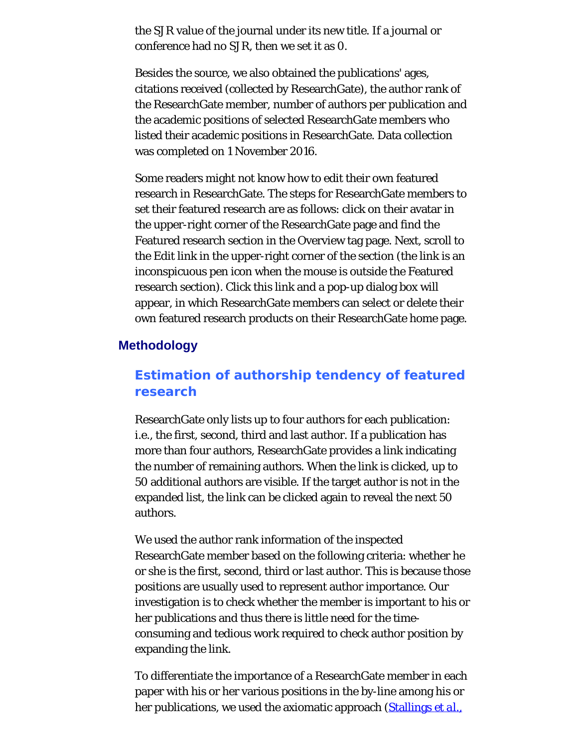the SJR value of the journal under its new title. If a journal or conference had no SJR, then we set it as 0.

Besides the source, we also obtained the publications' ages, citations received (collected by ResearchGate), the author rank of the ResearchGate member, number of authors per publication and the academic positions of selected ResearchGate members who listed their academic positions in ResearchGate. Data collection was completed on 1 November 2016.

Some readers might not know how to edit their own featured research in ResearchGate. The steps for ResearchGate members to set their featured research are as follows: click on their avatar in the upper-right corner of the ResearchGate page and find the Featured research section in the Overview tag page. Next, scroll to the Edit link in the upper-right corner of the section (the link is an inconspicuous pen icon when the mouse is outside the Featured research section). Click this link and a pop-up dialog box will appear, in which ResearchGate members can select or delete their own featured research products on their ResearchGate home page.

### **Methodology**

## **Estimation of authorship tendency of featured research**

ResearchGate only lists up to four authors for each publication: i.e., the first, second, third and last author. If a publication has more than four authors, ResearchGate provides a link indicating the number of remaining authors. When the link is clicked, up to 50 additional authors are visible. If the target author is not in the expanded list, the link can be clicked again to reveal the next 50 authors.

We used the author rank information of the inspected ResearchGate member based on the following criteria: whether he or she is the first, second, third or last author. This is because those positions are usually used to represent author importance. Our investigation is to check whether the member is important to his or her publications and thus there is little need for the timeconsuming and tedious work required to check author position by expanding the link.

To differentiate the importance of a ResearchGate member in each paper with his or her various positions in the by-line among his or her publications, we used the axiomatic approach [\(Stallings](#page-22-0) *[et al.](#page-22-0)*[,](#page-22-0)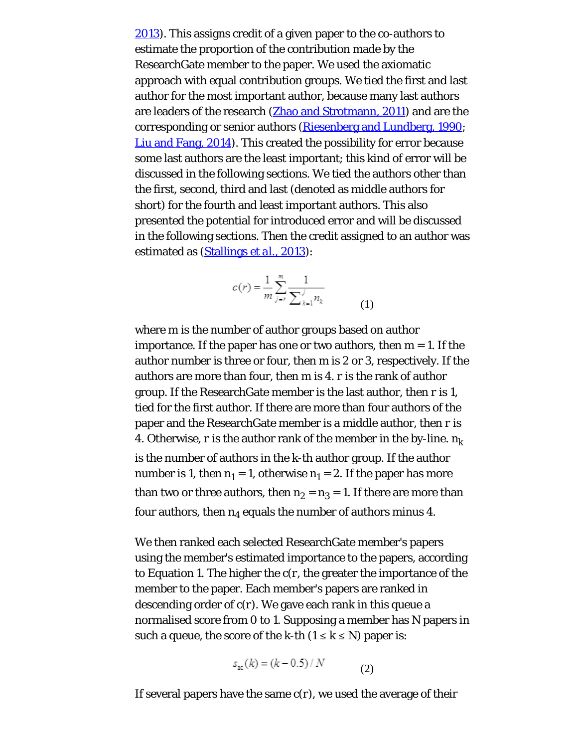[2013\)](#page-22-0). This assigns credit of a given paper to the co-authors to estimate the proportion of the contribution made by the ResearchGate member to the paper. We used the axiomatic approach with equal contribution groups. We tied the first and last author for the most important author, because many last authors are leaders of the research [\(Zhao and Strotmann, 2011](#page-22-3)) and are the corresponding or senior authors ([Riesenberg and Lundberg, 1990;](#page-22-0) [Liu and Fang, 2014\)](#page-22-0). This created the possibility for error because some last authors are the least important; this kind of error will be discussed in the following sections. We tied the authors other than the first, second, third and last (denoted as middle authors for short) for the fourth and least important authors. This also presented the potential for introduced error and will be discussed in the following sections. Then the credit assigned to an author was estimated as [\(Stallings](#page-22-0) *[et al.](#page-22-0)*[, 2013](#page-22-0)):

$$
c(r) = \frac{1}{m} \sum_{j=r}^{m} \frac{1}{\sum_{k=1}^{j} n_k}
$$
 (1)

where *m* is the number of author groups based on author importance. If the paper has one or two authors, then *m* = 1. If the author number is three or four, then *m* is 2 or 3, respectively. If the authors are more than four, then *m* is 4. *r* is the rank of author group. If the ResearchGate member is the last author, then *r* is 1, tied for the first author. If there are more than four authors of the paper and the ResearchGate member is a middle author, then *r* is 4. Otherwise, *r* is the author rank of the member in the by-line. *nk* is the number of authors in the *k*-th author group. If the author number is 1, then  $n_1 = 1$ , otherwise  $n_1 = 2$ . If the paper has more than two or three authors, then  $n_2 = n_3 = 1$ . If there are more than four authors, then  $n_4$  equals the number of authors minus 4.

We then ranked each selected ResearchGate member's papers using the member's estimated importance to the papers, according to Equation 1. The higher the *c*(*r*, the greater the importance of the member to the paper. Each member's papers are ranked in descending order of *c*(*r*). We gave each rank in this queue a normalised score from 0 to 1. Supposing a member has *N* papers in such a queue, the score of the *k*-th  $(1 \leq k \leq N)$  paper is:

$$
s_{ac}(k) = (k - 0.5) / N \tag{2}
$$

If several papers have the same *c*(*r*), we used the average of their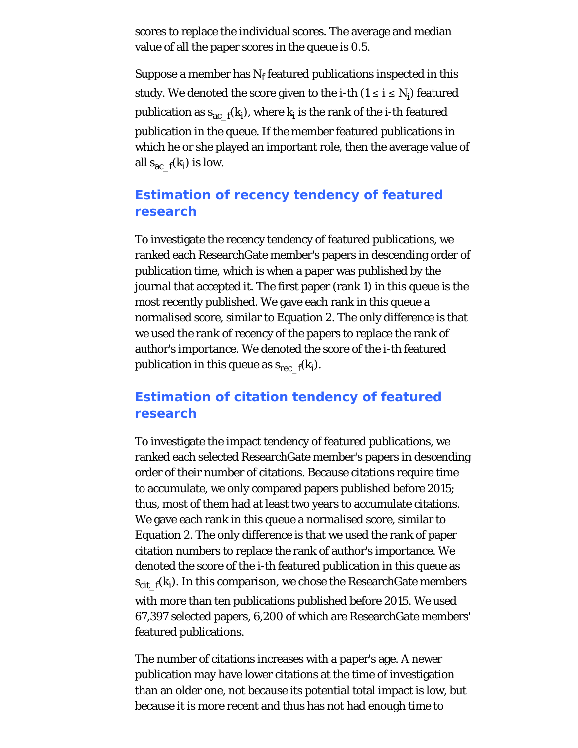scores to replace the individual scores. The average and median value of all the paper scores in the queue is 0.5.

Suppose a member has  $N_f$  featured publications inspected in this study. We denoted the score given to the *i*-th (1 ≤ *i* ≤ *Ni* ) featured publication as  $s_{\rm ac\_f}(k_j)$ , where  $k_j$  is the rank of the *i*-th featured publication in the queue. If the member featured publications in which he or she played an important role, then the average value of all  $s_{\text{ac\_f}}(k_i)$  is low.

# **Estimation of recency tendency of featured research**

To investigate the recency tendency of featured publications, we ranked each ResearchGate member's papers in descending order of publication time, which is when a paper was published by the journal that accepted it. The first paper (rank 1) in this queue is the most recently published. We gave each rank in this queue a normalised score, similar to Equation 2. The only difference is that we used the rank of recency of the papers to replace the rank of author's importance. We denoted the score of the *i*-th featured publication in this queue as *s*rec\_f(*ki* ).

# **Estimation of citation tendency of featured research**

To investigate the impact tendency of featured publications, we ranked each selected ResearchGate member's papers in descending order of their number of citations. Because citations require time to accumulate, we only compared papers published before 2015; thus, most of them had at least two years to accumulate citations. We gave each rank in this queue a normalised score, similar to Equation 2. The only difference is that we used the rank of paper citation numbers to replace the rank of author's importance. We denoted the score of the *i*-th featured publication in this queue as *s*cit\_f(*ki* ). In this comparison, we chose the ResearchGate members with more than ten publications published before 2015. We used 67,397 selected papers, 6,200 of which are ResearchGate members' featured publications.

The number of citations increases with a paper's age. A newer publication may have lower citations at the time of investigation than an older one, not because its potential total impact is low, but because it is more recent and thus has not had enough time to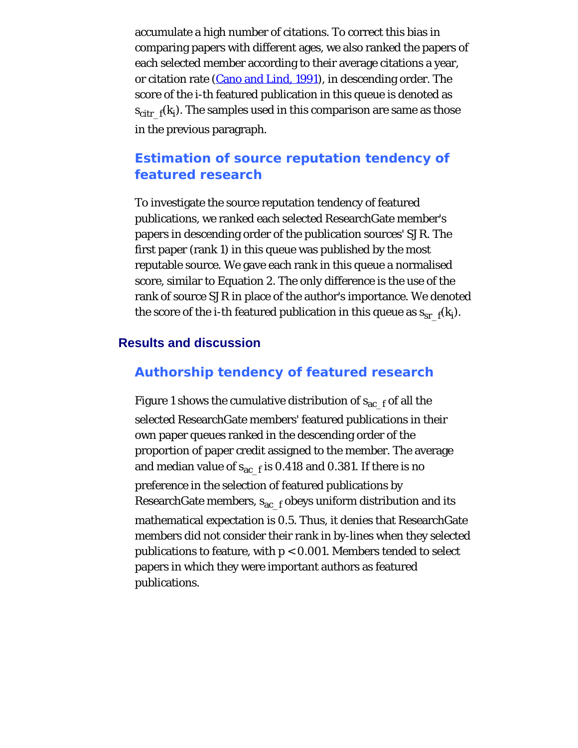accumulate a high number of citations. To correct this bias in comparing papers with different ages, we also ranked the papers of each selected member according to their average citations a year, or citation rate [\(Cano and Lind, 1991](#page-22-0)), in descending order. The score of the *i*-th featured publication in this queue is denoted as *s*citr\_f(*ki* ). The samples used in this comparison are same as those in the previous paragraph.

# **Estimation of source reputation tendency of featured research**

To investigate the source reputation tendency of featured publications, we ranked each selected ResearchGate member's papers in descending order of the publication sources' SJR. The first paper (rank 1) in this queue was published by the most reputable source. We gave each rank in this queue a normalised score, similar to Equation 2. The only difference is the use of the rank of source SJR in place of the author's importance. We denoted the score of the *i*-th featured publication in this queue as  $s_{\text{sr}\_\text{f}}(k_{i})$ .

### **Results and discussion**

### **Authorship tendency of featured research**

Figure 1 shows the cumulative distribution of  $s_{ac-f}$  of all the selected ResearchGate members' featured publications in their own paper queues ranked in the descending order of the proportion of paper credit assigned to the member. The average and median value of  $s_{ac-f}$  is 0.418 and 0.381. If there is no preference in the selection of featured publications by ResearchGate members,  $s_{ac-f}$  obeys uniform distribution and its mathematical expectation is 0.5. Thus, it denies that ResearchGate members did not consider their rank in by-lines when they selected publications to feature, with *p* < 0.001. Members tended to select papers in which they were important authors as featured publications.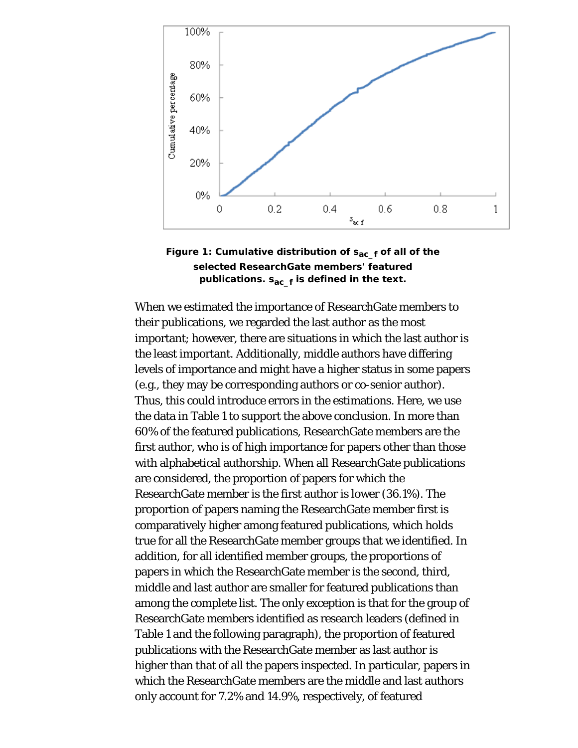



When we estimated the importance of ResearchGate members to their publications, we regarded the last author as the most important; however, there are situations in which the last author is the least important. Additionally, middle authors have differing levels of importance and might have a higher status in some papers (e.g., they may be corresponding authors or co-senior author). Thus, this could introduce errors in the estimations. Here, we use the data in Table 1 to support the above conclusion. In more than 60% of the featured publications, ResearchGate members are the first author, who is of high importance for papers other than those with alphabetical authorship. When all ResearchGate publications are considered, the proportion of papers for which the ResearchGate member is the first author is lower (36.1%). The proportion of papers naming the ResearchGate member first is comparatively higher among featured publications, which holds true for all the ResearchGate member groups that we identified. In addition, for all identified member groups, the proportions of papers in which the ResearchGate member is the second, third, middle and last author are smaller for featured publications than among the complete list. The only exception is that for the group of ResearchGate members identified as research leaders (defined in Table 1 and the following paragraph), the proportion of featured publications with the ResearchGate member as last author is higher than that of all the papers inspected. In particular, papers in which the ResearchGate members are the middle and last authors only account for 7.2% and 14.9%, respectively, of featured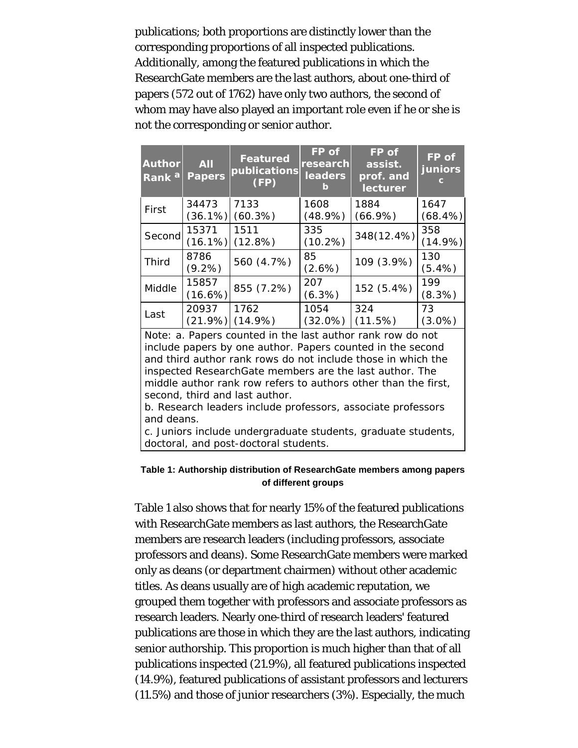publications; both proportions are distinctly lower than the corresponding proportions of all inspected publications. Additionally, among the featured publications in which the ResearchGate members are the last authors, about one-third of papers (572 out of 1762) have only two authors, the second of whom may have also played an important role even if he or she is not the corresponding or senior author.

| <b>Author</b><br>Rank <sup>a</sup> | <b>All</b><br><b>Papers</b> | <b>Featured</b><br>publications<br>(FP) | FP of<br>research<br><b>leaders</b><br>Iэ | <b>FP</b> of<br>assist.<br>prof. and<br>lecturer | FP of<br>juniors<br>c |
|------------------------------------|-----------------------------|-----------------------------------------|-------------------------------------------|--------------------------------------------------|-----------------------|
| First                              | 34473                       | 7133                                    | 1608                                      | 1884                                             | 1647                  |
|                                    | (36.1%)                     | $(66.9\%)$<br>$(60.3\%)$<br>$(48.9\%)$  |                                           |                                                  | $(68.4\%)$            |
| Second                             | 15371                       | 1511                                    | 335                                       | 348(12.4%)                                       | 358                   |
|                                    | (16.1%)                     | (12.8%)                                 | (10.2%)                                   |                                                  | (14.9%)               |
| <b>Third</b>                       | 8786                        | 560 (4.7%)                              | 85                                        | 109 (3.9%)                                       | 130                   |
|                                    | $(9.2\%)$                   |                                         | $(2.6\%)$                                 |                                                  | $(5.4\%)$             |
| Middle                             | 15857                       | 855 (7.2%)                              | 207                                       | 152 (5.4%)                                       | 199                   |
|                                    | $(16.6\%)$                  |                                         | (6.3%)                                    |                                                  | (8.3%)                |
| Last                               | 20937                       | 1762                                    | 1054                                      | 324                                              | 73                    |
|                                    | (21.9%)                     | $(14.9\%)$                              | (32.0%)                                   | (11.5%)                                          | $(3.0\%)$             |

Note: a. Papers counted in the last author rank row do not include papers by one author. Papers counted in the second and third author rank rows do not include those in which the inspected ResearchGate members are the last author. The middle author rank row refers to authors other than the first, second, third and last author.

b. Research leaders include professors, associate professors and deans.

c. Juniors include undergraduate students, graduate students, doctoral, and post-doctoral students.

#### **Table 1: Authorship distribution of ResearchGate members among papers of different groups**

Table 1 also shows that for nearly 15% of the featured publications with ResearchGate members as last authors, the ResearchGate members are research leaders (including professors, associate professors and deans). Some ResearchGate members were marked only as deans (or department chairmen) without other academic titles. As deans usually are of high academic reputation, we grouped them together with professors and associate professors as research leaders. Nearly one-third of research leaders' featured publications are those in which they are the last authors, indicating senior authorship. This proportion is much higher than that of all publications inspected (21.9%), all featured publications inspected (14.9%), featured publications of assistant professors and lecturers (11.5%) and those of junior researchers (3%). Especially, the much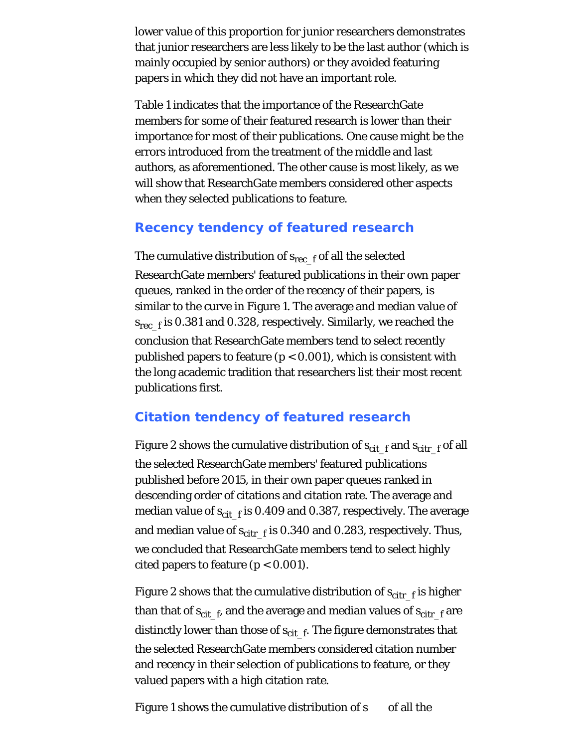lower value of this proportion for junior researchers demonstrates that junior researchers are less likely to be the last author (which is mainly occupied by senior authors) or they avoided featuring papers in which they did not have an important role.

Table 1 indicates that the importance of the ResearchGate members for some of their featured research is lower than their importance for most of their publications. One cause might be the errors introduced from the treatment of the middle and last authors, as aforementioned. The other cause is most likely, as we will show that ResearchGate members considered other aspects when they selected publications to feature.

### **Recency tendency of featured research**

The cumulative distribution of  $s_{rec-f}$  of all the selected ResearchGate members' featured publications in their own paper queues, ranked in the order of the recency of their papers, is similar to the curve in Figure 1. The average and median value of  $s_{\text{rec-f}}$  is 0.381 and 0.328, respectively. Similarly, we reached the conclusion that ResearchGate members tend to select recently published papers to feature (*p* < 0.001), which is consistent with the long academic tradition that researchers list their most recent publications first.

# **Citation tendency of featured research**

Figure 2 shows the cumulative distribution of  $s_{\text{cit-f}}$  and  $s_{\text{cit-f}}$  of all the selected ResearchGate members' featured publications published before 2015, in their own paper queues ranked in descending order of citations and citation rate. The average and median value of  $s_{\text{cit-f}}$  is 0.409 and 0.387, respectively. The average and median value of  $s_{\text{citr }f}$  is 0.340 and 0.283, respectively. Thus, we concluded that ResearchGate members tend to select highly cited papers to feature  $(p < 0.001)$ .

Figure 2 shows that the cumulative distribution of  $s_{\text{citr-f}}$  is higher than that of  $s_{\text{cit-f}}$ , and the average and median values of  $s_{\text{cit-f}}$  are distinctly lower than those of  $s_{\text{cit}\_{\text{f}}}$ . The figure demonstrates that the selected ResearchGate members considered citation number and recency in their selection of publications to feature, or they valued papers with a high citation rate.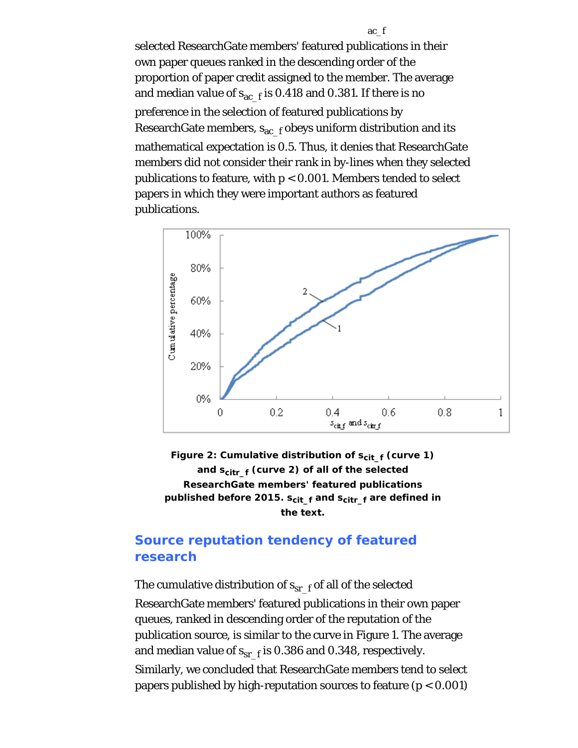selected ResearchGate members' featured publications in their own paper queues ranked in the descending order of the proportion of paper credit assigned to the member. The average and median value of  $s_{ac-f}$  is 0.418 and 0.381. If there is no preference in the selection of featured publications by ResearchGate members,  $s_{ac-f}$  obeys uniform distribution and its mathematical expectation is 0.5. Thus, it denies that ResearchGate members did not consider their rank in by-lines when they selected publications to feature, with *p* < 0.001. Members tended to select papers in which they were important authors as featured publications.



**Figure 2: Cumulative distribution of** *s***cit\_f (curve 1) and** *s***citr\_f (curve 2) of all of the selected ResearchGate members' featured publications published before 2015.** *s***cit\_f and** *s***citr\_f are defined in the text.**

## **Source reputation tendency of featured research**

The cumulative distribution of  $s_{sr-f}$  of all of the selected ResearchGate members' featured publications in their own paper queues, ranked in descending order of the reputation of the publication source, is similar to the curve in Figure 1. The average and median value of  $s_{sr-f}$  is 0.386 and 0.348, respectively. Similarly, we concluded that ResearchGate members tend to select papers published by high-reputation sources to feature (*p* < 0.001)

ac\_f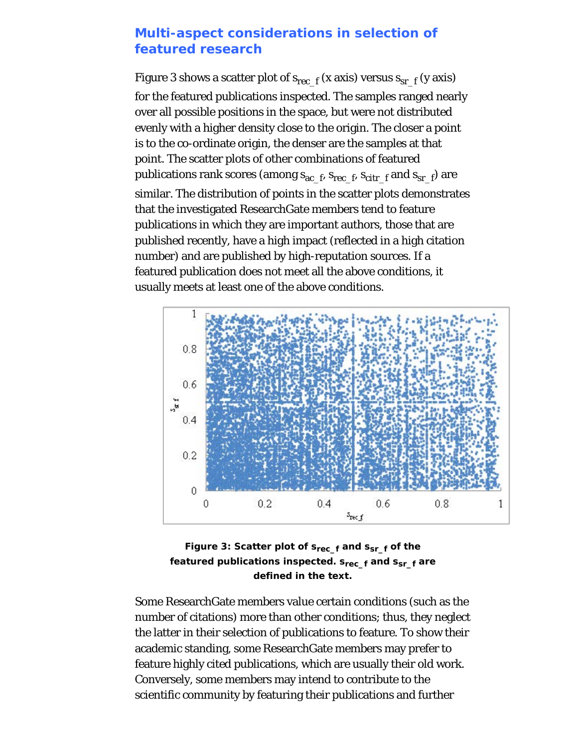### **Multi-aspect considerations in selection of featured research**

Figure 3 shows a scatter plot of  $s_{\text{rec-}f}$  (x axis) versus  $s_{\text{sr-f}}$  (y axis) for the featured publications inspected. The samples ranged nearly over all possible positions in the space, but were not distributed evenly with a higher density close to the origin. The closer a point is to the co-ordinate origin, the denser are the samples at that point. The scatter plots of other combinations of featured publications rank scores (among *s*ac\_f, *s*rec\_f, *s*citr\_f and *s*sr\_f) are similar. The distribution of points in the scatter plots demonstrates that the investigated ResearchGate members tend to feature publications in which they are important authors, those that are published recently, have a high impact (reflected in a high citation number) and are published by high-reputation sources. If a featured publication does not meet all the above conditions, it usually meets at least one of the above conditions.



**Figure 3: Scatter plot of** *s***rec\_f and** *s***sr\_f of the** featured publications inspected.  $s_{rec-f}$  and  $s_{sr-f}$  are **defined in the text.**

Some ResearchGate members value certain conditions (such as the number of citations) more than other conditions; thus, they neglect the latter in their selection of publications to feature. To show their academic standing, some ResearchGate members may prefer to feature highly cited publications, which are usually their old work. Conversely, some members may intend to contribute to the scientific community by featuring their publications and further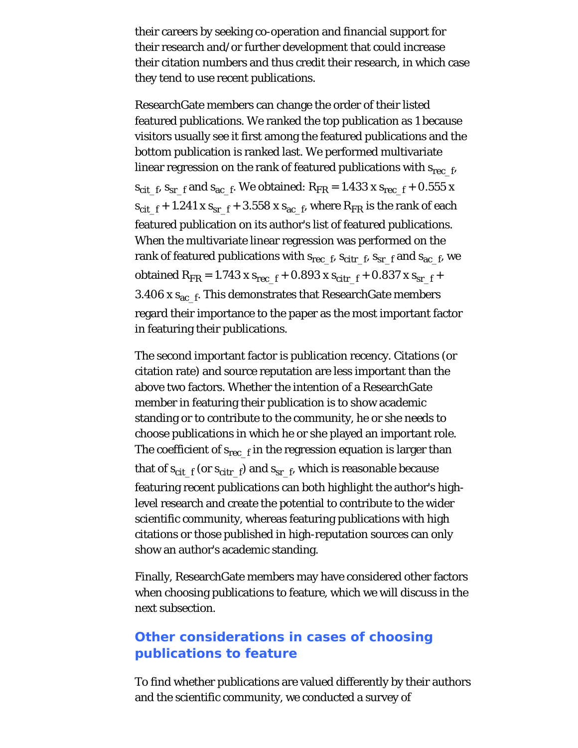their careers by seeking co-operation and financial support for their research and/or further development that could increase their citation numbers and thus credit their research, in which case they tend to use recent publications.

ResearchGate members can change the order of their listed featured publications. We ranked the top publication as 1 because visitors usually see it first among the featured publications and the bottom publication is ranked last. We performed multivariate linear regression on the rank of featured publications with *s*rec\_f,  $s_{\text{cit}}$ <sub>5</sub>,  $s_{\text{sr}}$ <sub>1</sub> and  $s_{\text{ac}}$ <sub>1</sub>. We obtained:  $R_{\text{FR}} = 1.433$  x  $s_{\text{rec}}$ <sub>1</sub> + 0.555 x  $s_{\text{cit}}$   $f + 1.241$  x  $s_{\text{sr}}$   $f + 3.558$  x  $s_{\text{ac}}$   $f$ , where  $R_{\text{FR}}$  is the rank of each featured publication on its author's list of featured publications. When the multivariate linear regression was performed on the rank of featured publications with  $s_{\text{rec}}$ <sub>f</sub>,  $s_{\text{citr}}$ <sub>f</sub>,  $s_{\text{sr}}$ <sub>f</sub> and  $s_{\text{ac}}$ <sub>f</sub>, we obtained  $R_{FR} = 1.743$  x  $s_{rec}$   $f + 0.893$  x  $s_{citr}$   $f + 0.837$  x  $s_{sr}$   $f + 0.837$ 3.406 x  $s_{ac-f}$ . This demonstrates that ResearchGate members regard their importance to the paper as the most important factor in featuring their publications.

The second important factor is publication recency. Citations (or citation rate) and source reputation are less important than the above two factors. Whether the intention of a ResearchGate member in featuring their publication is to show academic standing or to contribute to the community, he or she needs to choose publications in which he or she played an important role. The coefficient of  $s_{rec-f}$  in the regression equation is larger than that of  $s_{\text{cit-f}}$  (or  $s_{\text{cit-f}}$ ) and  $s_{\text{sr-f}}$ , which is reasonable because featuring recent publications can both highlight the author's highlevel research and create the potential to contribute to the wider scientific community, whereas featuring publications with high citations or those published in high-reputation sources can only show an author's academic standing.

Finally, ResearchGate members may have considered other factors when choosing publications to feature, which we will discuss in the next subsection.

# **Other considerations in cases of choosing publications to feature**

To find whether publications are valued differently by their authors and the scientific community, we conducted a survey of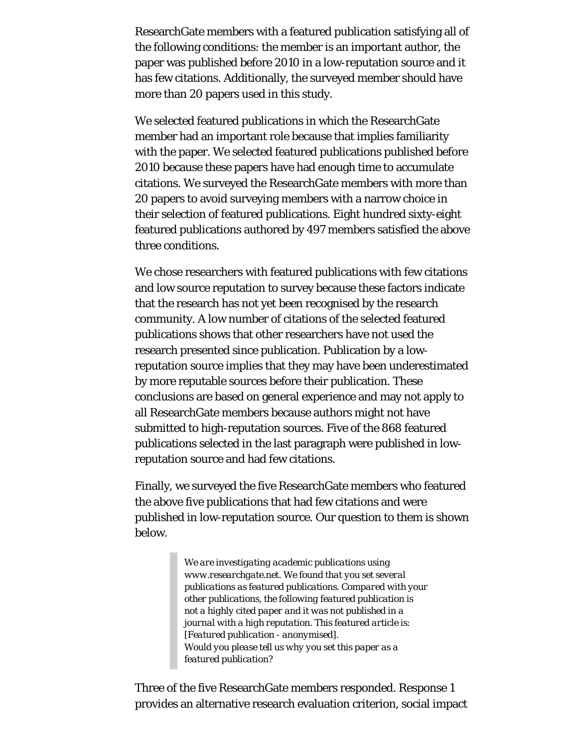ResearchGate members with a featured publication satisfying all of the following conditions: the member is an important author, the paper was published before 2010 in a low-reputation source and it has few citations. Additionally, the surveyed member should have more than 20 papers used in this study.

We selected featured publications in which the ResearchGate member had an important role because that implies familiarity with the paper. We selected featured publications published before 2010 because these papers have had enough time to accumulate citations. We surveyed the ResearchGate members with more than 20 papers to avoid surveying members with a narrow choice in their selection of featured publications. Eight hundred sixty-eight featured publications authored by 497 members satisfied the above three conditions.

We chose researchers with featured publications with few citations and low source reputation to survey because these factors indicate that the research has not yet been recognised by the research community. A low number of citations of the selected featured publications shows that other researchers have not used the research presented since publication. Publication by a lowreputation source implies that they may have been underestimated by more reputable sources before their publication. These conclusions are based on general experience and may not apply to all ResearchGate members because authors might not have submitted to high-reputation sources. Five of the 868 featured publications selected in the last paragraph were published in lowreputation source and had few citations.

Finally, we surveyed the five ResearchGate members who featured the above five publications that had few citations and were published in low-reputation source. Our question to them is shown below.

> *We are investigating academic publications using www.researchgate.net. We found that you set several publications as featured publications. Compared with your other publications, the following featured publication is not a highly cited paper and it was not published in a journal with a high reputation. This featured article is: [Featured publication - anonymised]. Would you please tell us why you set this paper as a featured publication?*

Three of the five ResearchGate members responded. Response 1 provides an alternative research evaluation criterion, social impact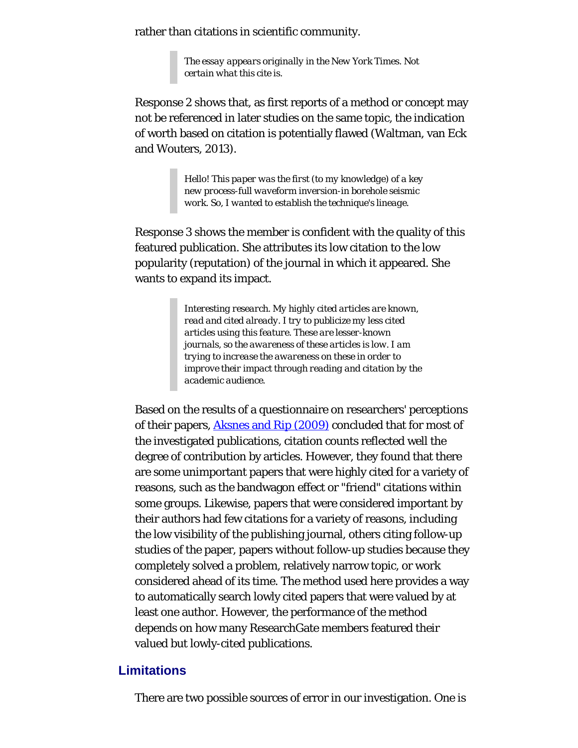rather than citations in scientific community.

*The essay appears originally in the New York Times. Not certain what this cite is.*

Response 2 shows that, as first reports of a method or concept may not be referenced in later studies on the same topic, the indication of worth based on citation is potentially flawed (Waltman, van Eck and Wouters, 2013).

> *Hello! This paper was the first (to my knowledge) of a key new process-full waveform inversion-in borehole seismic work. So, I wanted to establish the technique's lineage.*

Response 3 shows the member is confident with the quality of this featured publication. She attributes its low citation to the low popularity (reputation) of the journal in which it appeared. She wants to expand its impact.

> *Interesting research. My highly cited articles are known, read and cited already. I try to publicize my less cited articles using this feature. These are lesser-known journals, so the awareness of these articles is low. I am trying to increase the awareness on these in order to improve their impact through reading and citation by the academic audience.*

Based on the results of a questionnaire on researchers' perceptions of their papers, **Aksnes and Rip (2009)** concluded that for most of the investigated publications, citation counts reflected well the degree of contribution by articles. However, they found that there are some unimportant papers that were highly cited for a variety of reasons, such as the bandwagon effect or "friend" citations within some groups. Likewise, papers that were considered important by their authors had few citations for a variety of reasons, including the low visibility of the publishing journal, others citing follow-up studies of the paper, papers without follow-up studies because they completely solved a problem, relatively narrow topic, or work considered ahead of its time. The method used here provides a way to automatically search lowly cited papers that were valued by at least one author. However, the performance of the method depends on how many ResearchGate members featured their valued but lowly-cited publications.

### **Limitations**

There are two possible sources of error in our investigation. One is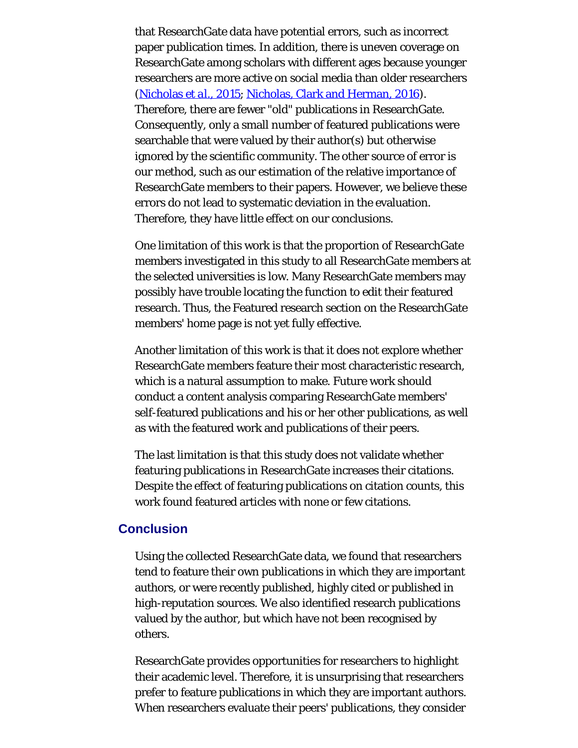that ResearchGate data have potential errors, such as incorrect paper publication times. In addition, there is uneven coverage on ResearchGate among scholars with different ages because younger researchers are more active on social media than older researchers [\(Nicholas](#page-22-0) *[et al.](#page-22-0)*[, 2015](#page-22-0); [Nicholas, Clark and Herman, 2016](#page-22-0)). Therefore, there are fewer "old" publications in ResearchGate. Consequently, only a small number of featured publications were searchable that were valued by their author(s) but otherwise ignored by the scientific community. The other source of error is our method, such as our estimation of the relative importance of ResearchGate members to their papers. However, we believe these errors do not lead to systematic deviation in the evaluation. Therefore, they have little effect on our conclusions.

One limitation of this work is that the proportion of ResearchGate members investigated in this study to all ResearchGate members at the selected universities is low. Many ResearchGate members may possibly have trouble locating the function to edit their featured research. Thus, the Featured research section on the ResearchGate members' home page is not yet fully effective.

Another limitation of this work is that it does not explore whether ResearchGate members feature their most characteristic research, which is a natural assumption to make. Future work should conduct a content analysis comparing ResearchGate members' self-featured publications and his or her other publications, as well as with the featured work and publications of their peers.

The last limitation is that this study does not validate whether featuring publications in ResearchGate increases their citations. Despite the effect of featuring publications on citation counts, this work found featured articles with none or few citations.

### **Conclusion**

Using the collected ResearchGate data, we found that researchers tend to feature their own publications in which they are important authors, or were recently published, highly cited or published in high-reputation sources. We also identified research publications valued by the author, but which have not been recognised by others.

ResearchGate provides opportunities for researchers to highlight their academic level. Therefore, it is unsurprising that researchers prefer to feature publications in which they are important authors. When researchers evaluate their peers' publications, they consider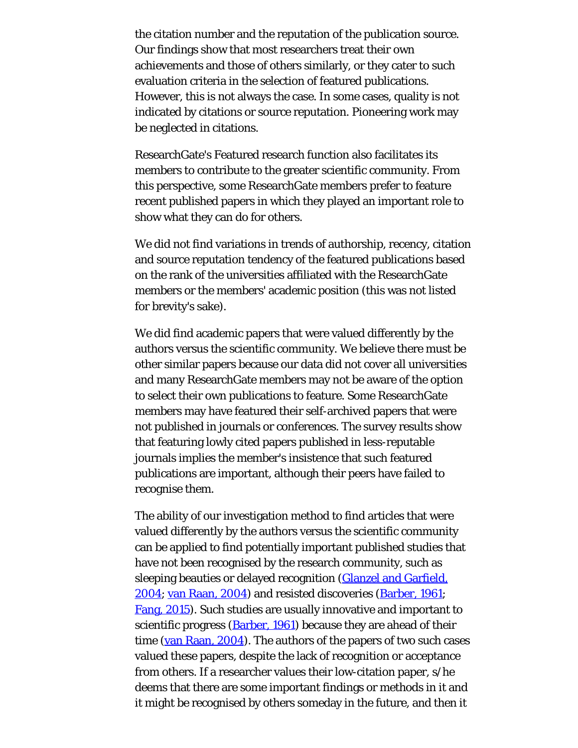the citation number and the reputation of the publication source. Our findings show that most researchers treat their own achievements and those of others similarly, or they cater to such evaluation criteria in the selection of featured publications. However, this is not always the case. In some cases, quality is not indicated by citations or source reputation. Pioneering work may be neglected in citations.

ResearchGate's Featured research function also facilitates its members to contribute to the greater scientific community. From this perspective, some ResearchGate members prefer to feature recent published papers in which they played an important role to show what they can do for others.

We did not find variations in trends of authorship, recency, citation and source reputation tendency of the featured publications based on the rank of the universities affiliated with the ResearchGate members or the members' academic position (this was not listed for brevity's sake).

We did find academic papers that were valued differently by the authors versus the scientific community. We believe there must be other similar papers because our data did not cover all universities and many ResearchGate members may not be aware of the option to select their own publications to feature. Some ResearchGate members may have featured their self-archived papers that were not published in journals or conferences. The survey results show that featuring lowly cited papers published in less-reputable journals implies the member's insistence that such featured publications are important, although their peers have failed to recognise them.

The ability of our investigation method to find articles that were valued differently by the authors versus the scientific community can be applied to find potentially important published studies that have not been recognised by the research community, such as sleeping beauties or delayed recognition [\(Glanzel and Garfield,](#page-22-0) [2004; van Raan, 2004](#page-22-0)) and resisted discoveries [\(Barber, 1961](#page-22-0); [Fang, 2015\)](#page-22-0). Such studies are usually innovative and important to scientific progress (**Barber, 1961**) because they are ahead of their time [\(van Raan, 2004](#page-22-0)). The authors of the papers of two such cases valued these papers, despite the lack of recognition or acceptance from others. If a researcher values their low-citation paper, s/he deems that there are some important findings or methods in it and it might be recognised by others someday in the future, and then it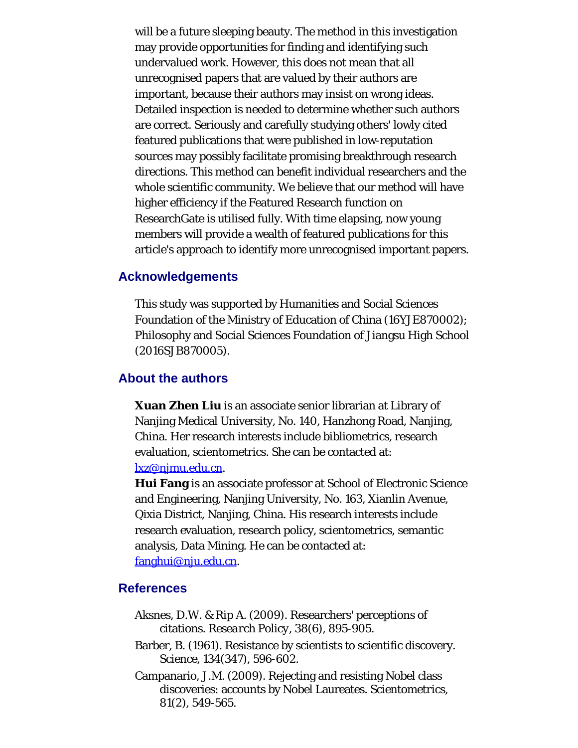will be a future sleeping beauty. The method in this investigation may provide opportunities for finding and identifying such undervalued work. However, this does not mean that all unrecognised papers that are valued by their authors are important, because their authors may insist on wrong ideas. Detailed inspection is needed to determine whether such authors are correct. Seriously and carefully studying others' lowly cited featured publications that were published in low-reputation sources may possibly facilitate promising breakthrough research directions. This method can benefit individual researchers and the whole scientific community. We believe that our method will have higher efficiency if the Featured Research function on ResearchGate is utilised fully. With time elapsing, now young members will provide a wealth of featured publications for this article's approach to identify more unrecognised important papers.

#### **Acknowledgements**

This study was supported by Humanities and Social Sciences Foundation of the Ministry of Education of China (16YJE870002); Philosophy and Social Sciences Foundation of Jiangsu High School (2016SJB870005).

#### <span id="page-18-0"></span>**About the authors**

**Xuan Zhen Liu** is an associate senior librarian at Library of Nanjing Medical University, No. 140, Hanzhong Road, Nanjing, China. Her research interests include bibliometrics, research evaluation, scientometrics. She can be contacted at: [lxz@njmu.edu.cn](mailto:lxz@njmu.edu.cn).

**Hui Fang** is an associate professor at School of Electronic Science and Engineering, Nanjing University, No. 163, Xianlin Avenue, Qixia District, Nanjing, China. His research interests include research evaluation, research policy, scientometrics, semantic analysis, Data Mining. He can be contacted at: [fanghui@nju.edu.cn](mailto:fanghui@nju.edu.cn).

#### **References**

- Aksnes, D.W. & Rip A. (2009). Researchers' perceptions of citations. *Research Policy, 38*(6), 895-905.
- Barber, B. (1961). Resistance by scientists to scientific discovery. *Science, 134*(347), 596-602.
- Campanario, J.M. (2009). Rejecting and resisting Nobel class discoveries: accounts by Nobel Laureates. *Scientometrics, 81*(2), 549-565.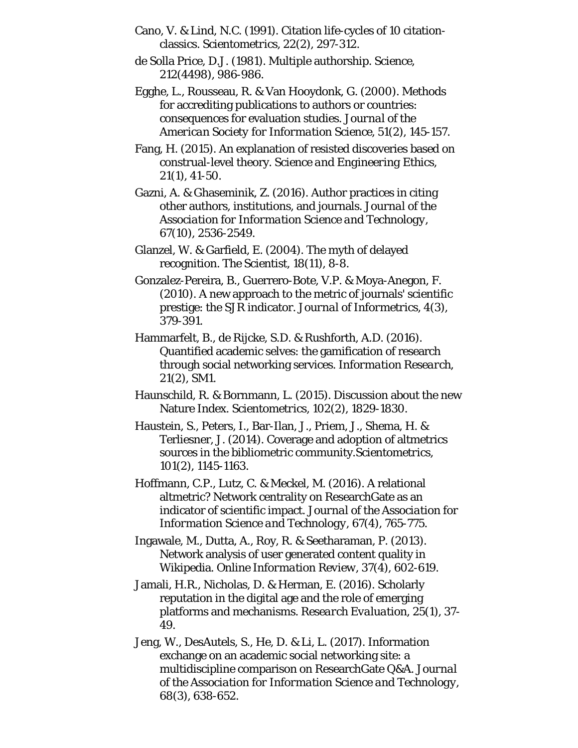- Cano, V. & Lind, N.C. (1991). Citation life-cycles of 10 citationclassics. *Scientometrics, 22*(2), 297-312.
- de Solla Price, D.J. (1981). Multiple authorship. *Science, 212*(4498), 986-986.
- Egghe, L., Rousseau, R. & Van Hooydonk, G. (2000). Methods for accrediting publications to authors or countries: consequences for evaluation studies. *Journal of the American Society for Information Science, 51*(2), 145-157.
- Fang, H. (2015). An explanation of resisted discoveries based on construal-level theory. *Science and Engineering Ethics, 21*(1), 41-50.
- Gazni, A. & Ghaseminik, Z. (2016). Author practices in citing other authors, institutions, and journals. *Journal of the Association for Information Science and Technology, 67*(10), 2536-2549.
- Glanzel, W. & Garfield, E. (2004). The myth of delayed recognition. *The Scientist, 18*(11), 8-8.
- Gonzalez-Pereira, B., Guerrero-Bote, V.P. & Moya-Anegon, F. (2010). A new approach to the metric of journals' scientific prestige: the SJR indicator. *Journal of Informetrics, 4*(3), 379-391.
- Hammarfelt, B., de Rijcke, S.D. & Rushforth, A.D. (2016). Quantified academic selves: the gamification of research through social networking services. *Information Research, 21*(2), SM1.
- Haunschild, R. & Bornmann, L. (2015). Discussion about the new Nature Index. *Scientometrics, 102*(2), 1829-1830.
- Haustein, S., Peters, I., Bar-Ilan, J., Priem, J., Shema, H. & Terliesner, J. (2014). Coverage and adoption of altmetrics sources in the bibliometric community.*Scientometrics, 101*(2), 1145-1163.
- Hoffmann, C.P., Lutz, C. & Meckel, M. (2016). A relational altmetric? Network centrality on ResearchGate as an indicator of scientific impact. *Journal of the Association for Information Science and Technology, 67*(4), 765-775.
- Ingawale, M., Dutta, A., Roy, R. & Seetharaman, P. (2013). Network analysis of user generated content quality in Wikipedia. *Online Information Review, 37*(4), 602-619.
- Jamali, H.R., Nicholas, D. & Herman, E. (2016). Scholarly reputation in the digital age and the role of emerging platforms and mechanisms. *Research Evaluation, 25*(1), 37- 49.
- Jeng, W., DesAutels, S., He, D. & Li, L. (2017). Information exchange on an academic social networking site: a multidiscipline comparison on ResearchGate Q&A. *Journal of the Association for Information Science and Technology, 68*(3), 638-652.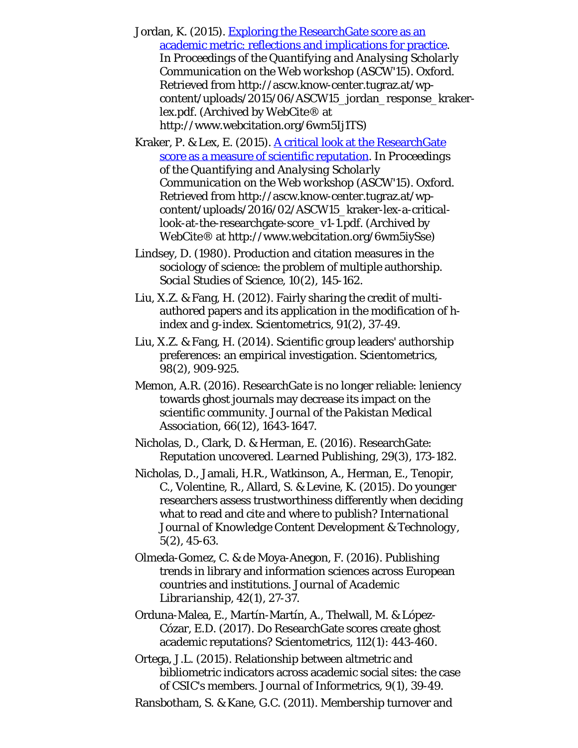Jordan, K. (2015). [Exploring the ResearchGate score as an](http://www.webcitation.org/6wm5Ij1TS) [academic metric: reflections and implications for practice](http://www.webcitation.org/6wm5Ij1TS). In *Proceedings of the Quantifying and Analysing Scholarly Communication on the Web workshop (ASCW'15).* Oxford. Retrieved from http://ascw.know-center.tugraz.at/wpcontent/uploads/2015/06/ASCW15\_jordan\_response\_krakerlex.pdf. (Archived by WebCite® at http://www.webcitation.org/6wm5Ij1TS)

Kraker, P. & Lex, E. (2015). [A critical look at the ResearchGate](http://www.webcitation.org/6wm5iySse) [score as a measure of scientific reputation](http://www.webcitation.org/6wm5iySse). In *Proceedings of the Quantifying and Analysing Scholarly Communication on the Web workshop (ASCW'15).* Oxford. Retrieved from http://ascw.know-center.tugraz.at/wpcontent/uploads/2016/02/ASCW15\_kraker-lex-a-criticallook-at-the-researchgate-score\_v1-1.pdf. (Archived by WebCite® at http://www.webcitation.org/6wm5iySse)

Lindsey, D. (1980). Production and citation measures in the sociology of science: the problem of multiple authorship. *Social Studies of Science, 10*(2), 145-162.

Liu, X.Z. & Fang, H. (2012). Fairly sharing the credit of multiauthored papers and its application in the modification of *h*index and *g*-index. *Scientometrics, 91*(2), 37-49.

Liu, X.Z. & Fang, H. (2014). Scientific group leaders' authorship preferences: an empirical investigation. *Scientometrics, 98*(2), 909-925.

Memon, A.R. (2016). ResearchGate is no longer reliable: leniency towards ghost journals may decrease its impact on the scientific community. *Journal of the Pakistan Medical Association, 66*(12), 1643-1647.

Nicholas, D., Clark, D. & Herman, E. (2016). ResearchGate: Reputation uncovered. *Learned Publishing, 29*(3), 173-182.

Nicholas, D., Jamali, H.R., Watkinson, A., Herman, E., Tenopir, C., Volentine, R., Allard, S. & Levine, K. (2015). Do younger researchers assess trustworthiness differently when deciding what to read and cite and where to publish? *International Journal of Knowledge Content Development & Technology, 5*(2), 45-63.

Olmeda-Gomez, C. & de Moya-Anegon, F. (2016). Publishing trends in library and information sciences across European countries and institutions. *Journal of Academic Librarianship, 42*(1), 27-37.

Orduna-Malea, E., Martín-Martín, A., Thelwall, M. & López-Cózar, E.D. (2017). Do ResearchGate scores create ghost academic reputations? *Scientometrics, 112*(1): 443-460.

Ortega, J.L. (2015). Relationship between altmetric and bibliometric indicators across academic social sites: the case of CSIC's members. *Journal of Informetrics, 9*(1), 39-49.

Ransbotham, S. & Kane, G.C. (2011). Membership turnover and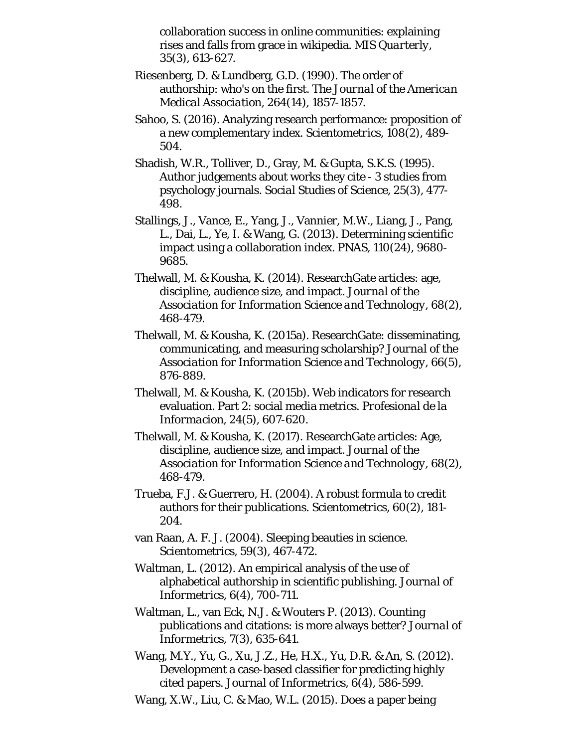collaboration success in online communities: explaining rises and falls from grace in wikipedia. *MIS Quarterly, 35*(3), 613-627.

- Riesenberg, D. & Lundberg, G.D. (1990). The order of authorship: who's on the first. *The Journal of the American Medical Association, 264*(14), 1857-1857.
- Sahoo, S. (2016). Analyzing research performance: proposition of a new complementary index. *Scientometrics, 108*(2), 489- 504.
- Shadish, W.R., Tolliver, D., Gray, M. & Gupta, S.K.S. (1995). Author judgements about works they cite - 3 studies from psychology journals. *Social Studies of Science, 25*(3), 477- 498.
- Stallings, J., Vance, E., Yang, J., Vannier, M.W., Liang, J., Pang, L., Dai, L., Ye, I. & Wang, G. (2013). Determining scientific impact using a collaboration index. *PNAS, 110*(24), 9680- 9685.
- Thelwall, M. & Kousha, K. (2014). ResearchGate articles: age, discipline, audience size, and impact. *Journal of the Association for Information Science and Technology, 68*(2), 468-479.
- Thelwall, M. & Kousha, K. (2015a). ResearchGate: disseminating, communicating, and measuring scholarship? *Journal of the Association for Information Science and Technology, 66*(5), 876-889.
- Thelwall, M. & Kousha, K. (2015b). Web indicators for research evaluation. Part 2: social media metrics. *Profesional de la Informacion, 24*(5), 607-620.
- Thelwall, M. & Kousha, K. (2017). ResearchGate articles: Age, discipline, audience size, and impact. *Journal of the Association for Information Science and Technology, 68*(2), 468-479.
- Trueba, F.J. & Guerrero, H. (2004). A robust formula to credit authors for their publications. *Scientometrics, 60*(2), 181- 204.
- van Raan, A. F. J. (2004). Sleeping beauties in science. *Scientometrics, 59*(3), 467-472.
- Waltman, L. (2012). An empirical analysis of the use of alphabetical authorship in scientific publishing. *Journal of Informetrics, 6*(4), 700-711.
- Waltman, L., van Eck, N.J. & Wouters P. (2013). Counting publications and citations: is more always better? *Journal of Informetrics, 7*(3), 635-641.
- Wang, M.Y., Yu, G., Xu, J.Z., He, H.X., Yu, D.R. & An, S. (2012). Development a case-based classifier for predicting highly cited papers. *Journal of Informetrics, 6*(4), 586-599.
- Wang, X.W., Liu, C. & Mao, W.L. (2015). Does a paper being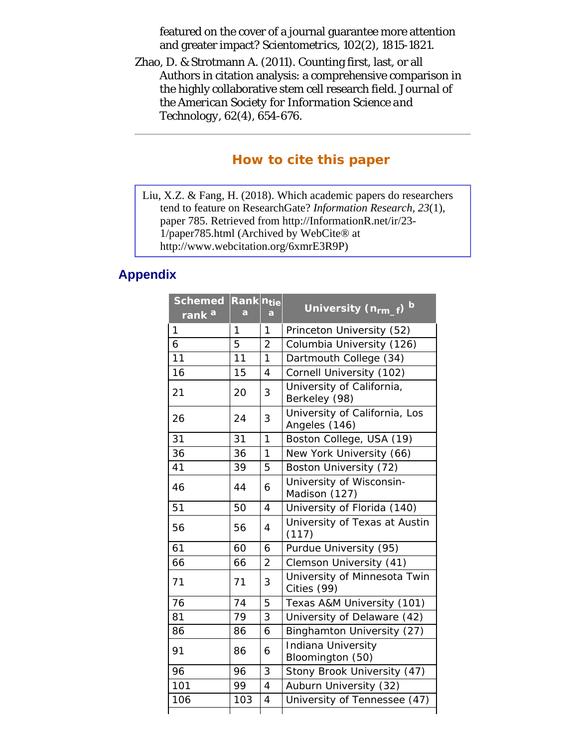<span id="page-22-0"></span>featured on the cover of a journal guarantee more attention and greater impact? *Scientometrics, 102*(2), 1815-1821.

<span id="page-22-3"></span><span id="page-22-1"></span>Zhao, D. & Strotmann A. (2011). Counting first, last, or all Authors in citation analysis: a comprehensive comparison in the highly collaborative stem cell research field. *Journal of the American Society for Information Science and Technology, 62*(4), 654-676.

### **How to cite this paper**

Liu, X.Z. & Fang, H. (2018). Which academic papers do researchers tend to feature on ResearchGate? *Information Research, 23*(1), paper 785. Retrieved from http://InformationR.net/ir/23- 1/paper785.html (Archived by WebCite® at http://www.webcitation.org/6xmrE3R9P)

### <span id="page-22-2"></span>**Appendix**

| <b>Schemed</b><br>rank <sup>a</sup> | Rank ntie<br>a | a              | University (n <sub>rm_f</sub> ) <sup>b</sup>   |
|-------------------------------------|----------------|----------------|------------------------------------------------|
| 1                                   | 1              | 1              | Princeton University (52)                      |
| 6                                   | 5              | $\overline{2}$ | Columbia University (126)                      |
| 11                                  | 11             | 1              | Dartmouth College (34)                         |
| 16                                  | 15             | 4              | Cornell University (102)                       |
| 21                                  | 20             | 3              | University of California,<br>Berkeley (98)     |
| 26                                  | 24             | 3              | University of California, Los<br>Angeles (146) |
| 31                                  | 31             | $\overline{1}$ | Boston College, USA (19)                       |
| 36                                  | 36             | 1              | New York University (66)                       |
| 41                                  | 39             | 5              | Boston University (72)                         |
| 46                                  | 44             | 6              | University of Wisconsin-<br>Madison (127)      |
| 51                                  | 50             | 4              | University of Florida (140)                    |
| 56                                  | 56             | 4              | University of Texas at Austin<br>(117)         |
| 61                                  | 60             | 6              | Purdue University (95)                         |
| 66                                  | 66             | $\overline{2}$ | Clemson University (41)                        |
| 71                                  | 71             | 3              | University of Minnesota Twin<br>Cities (99)    |
| 76                                  | 74             | 5              | Texas A&M University (101)                     |
| 81                                  | 79             | 3              | University of Delaware (42)                    |
| 86                                  | 86             | 6              | Binghamton University (27)                     |
| 91                                  | 86             | 6              | Indiana University<br>Bloomington (50)         |
| 96                                  | 96             | 3              | Stony Brook University (47)                    |
| 101                                 | 99             | $\overline{4}$ | Auburn University (32)                         |
| 106                                 | 103            | 4              | University of Tennessee (47)                   |
|                                     |                |                |                                                |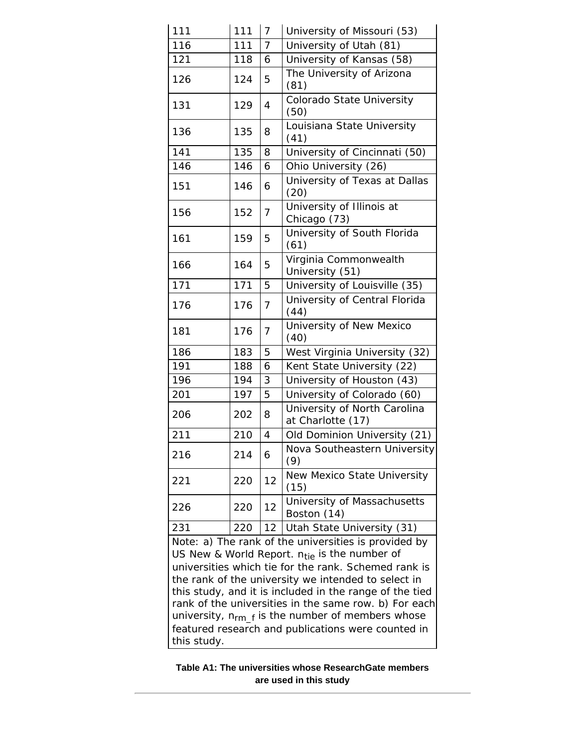| 111                                                                                                                                                                      | 111 | $\overline{7}$ | University of Missouri (53)                        |  |  |  |
|--------------------------------------------------------------------------------------------------------------------------------------------------------------------------|-----|----------------|----------------------------------------------------|--|--|--|
| 116                                                                                                                                                                      | 111 | $\overline{7}$ | University of Utah (81)                            |  |  |  |
| 121                                                                                                                                                                      | 118 | 6              | University of Kansas (58)                          |  |  |  |
| 126                                                                                                                                                                      | 124 | 5              | The University of Arizona<br>(81)                  |  |  |  |
| 131                                                                                                                                                                      | 129 | 4              | Colorado State University<br>(50)                  |  |  |  |
| 136                                                                                                                                                                      | 135 | 8              | Louisiana State University<br>(41)                 |  |  |  |
| 141                                                                                                                                                                      | 135 | 8              | University of Cincinnati (50)                      |  |  |  |
| 146                                                                                                                                                                      | 146 | 6              | Ohio University (26)                               |  |  |  |
| 151                                                                                                                                                                      | 146 | 6              | University of Texas at Dallas<br>(20)              |  |  |  |
| 156                                                                                                                                                                      | 152 | 7              | University of Illinois at<br>Chicago (73)          |  |  |  |
| 161                                                                                                                                                                      | 159 | 5              | University of South Florida<br>(61)                |  |  |  |
| 166                                                                                                                                                                      | 164 | 5              | Virginia Commonwealth<br>University (51)           |  |  |  |
| 171                                                                                                                                                                      | 171 | 5              | University of Louisville (35)                      |  |  |  |
| 176                                                                                                                                                                      | 176 | $\overline{7}$ | University of Central Florida<br>(44)              |  |  |  |
| 181                                                                                                                                                                      | 176 | 7              | University of New Mexico<br>(40)                   |  |  |  |
| 186                                                                                                                                                                      | 183 | 5              | West Virginia University (32)                      |  |  |  |
| 191                                                                                                                                                                      | 188 | 6              | Kent State University (22)                         |  |  |  |
| 196                                                                                                                                                                      | 194 | 3              | University of Houston (43)                         |  |  |  |
| 201                                                                                                                                                                      | 197 | 5              | University of Colorado (60)                        |  |  |  |
| 206                                                                                                                                                                      | 202 | 8              | University of North Carolina<br>at Charlotte (17)  |  |  |  |
| 211                                                                                                                                                                      | 210 | $\overline{4}$ | Old Dominion University (21)                       |  |  |  |
| 216                                                                                                                                                                      | 214 | 6              | Nova Southeastern University<br>(9)                |  |  |  |
| 221                                                                                                                                                                      | 220 | 12             | New Mexico State University<br>(15)                |  |  |  |
| 226                                                                                                                                                                      | 220 | 12             | University of Massachusetts<br>Boston (14)         |  |  |  |
| 231                                                                                                                                                                      | 220 | 12             | Utah State University (31)                         |  |  |  |
| Note: a) The rank of the universities is provided by<br>US New & World Report. $n_{\text{tie}}$ is the number of<br>universities which tie for the rank. Schemed rank is |     |                |                                                    |  |  |  |
| the rank of the university we intended to select in                                                                                                                      |     |                |                                                    |  |  |  |
| this study, and it is included in the range of the tied                                                                                                                  |     |                |                                                    |  |  |  |
| rank of the universities in the same row. b) For each                                                                                                                    |     |                |                                                    |  |  |  |
| university, $n_{rm}$ is the number of members whose                                                                                                                      |     |                |                                                    |  |  |  |
|                                                                                                                                                                          |     |                | featured research and publications were counted in |  |  |  |
| this study.                                                                                                                                                              |     |                |                                                    |  |  |  |

#### **Table A1: The universities whose ResearchGate members are used in this study**